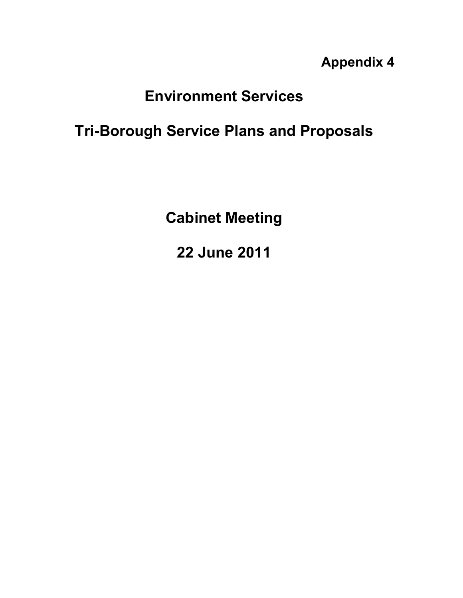**Appendix 4** 

# **Environment Services**

## **Tri-Borough Service Plans and Proposals**

**Cabinet Meeting** 

**22 June 2011**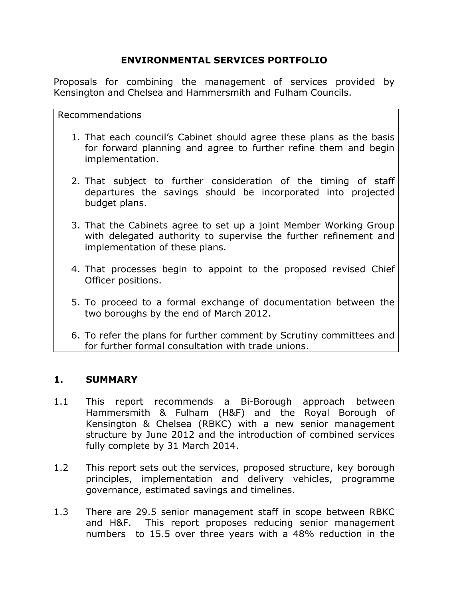## **ENVIRONMENTAL SERVICES PORTFOLIO**

Proposals for combining the management of services provided by Kensington and Chelsea and Hammersmith and Fulham Councils.

Recommendations

- 1. That each council's Cabinet should agree these plans as the basis for forward planning and agree to further refine them and begin implementation.
- 2. That subject to further consideration of the timing of staff departures the savings should be incorporated into projected budget plans.
- 3. That the Cabinets agree to set up a joint Member Working Group with delegated authority to supervise the further refinement and implementation of these plans.
- 4. That processes begin to appoint to the proposed revised Chief Officer positions.
- 5. To proceed to a formal exchange of documentation between the two boroughs by the end of March 2012.
- 6. To refer the plans for further comment by Scrutiny committees and for further formal consultation with trade unions.

## **1. SUMMARY**

- 1.1 This report recommends a Bi-Borough approach between Hammersmith & Fulham (H&F) and the Royal Borough of Kensington & Chelsea (RBKC) with a new senior management structure by June 2012 and the introduction of combined services fully complete by 31 March 2014.
- 1.2 This report sets out the services, proposed structure, key borough principles, implementation and delivery vehicles, programme governance, estimated savings and timelines.
- 1.3 There are 29.5 senior management staff in scope between RBKC and H&F. This report proposes reducing senior management numbers to 15.5 over three years with a 48% reduction in the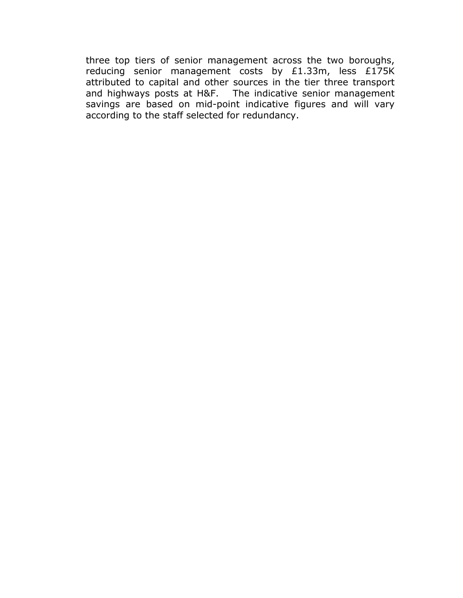three top tiers of senior management across the two boroughs, reducing senior management costs by £1.33m, less £175K attributed to capital and other sources in the tier three transport and highways posts at H&F. The indicative senior management savings are based on mid-point indicative figures and will vary according to the staff selected for redundancy.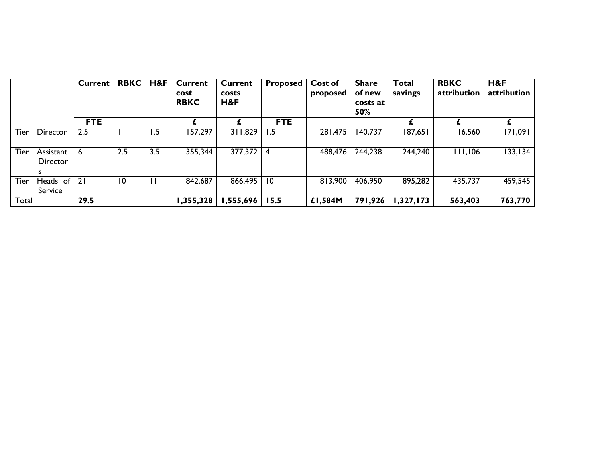|             |                            | <b>Current</b> | <b>RBKC</b> | H&F          | <b>Current</b><br>cost<br><b>RBKC</b> | <b>Current</b><br>costs<br>H&F | Proposed        | Cost of<br>proposed | <b>Share</b><br>of new<br>costs at<br>50% | <b>Total</b><br>savings | <b>RBKC</b><br>attribution | H&F<br>attribution |
|-------------|----------------------------|----------------|-------------|--------------|---------------------------------------|--------------------------------|-----------------|---------------------|-------------------------------------------|-------------------------|----------------------------|--------------------|
|             |                            | <b>FTE</b>     |             |              |                                       |                                | <b>FTE</b>      |                     |                                           |                         |                            |                    |
| Tier        | Director                   | 2.5            |             | 1.5          | 157,297                               | 311,829                        | 1.5             | 281,475             | 140,737                                   | 187,651                 | 16,560                     | 171,091            |
| Tier        | Assistant<br>Director<br>s | 6              | 2.5         | 3.5          | 355,344                               | $377,372 \mid 4$               |                 | 488,476             | 244,238                                   | 244,240                 | 111,106                    | 133, 134           |
| <b>Tier</b> | Heads of<br>Service        | 21             | -10         | $\mathbf{I}$ | 842,687                               | 866,495                        | $\overline{10}$ | 813,900             | 406,950                                   | 895,282                 | 435,737                    | 459,545            |
| Total       |                            | 29.5           |             |              | 1,355,328                             | 555,696, ا                     | 15.5            | £1,584M             | 791,926                                   | 1,327,173               | 563,403                    | 763,770            |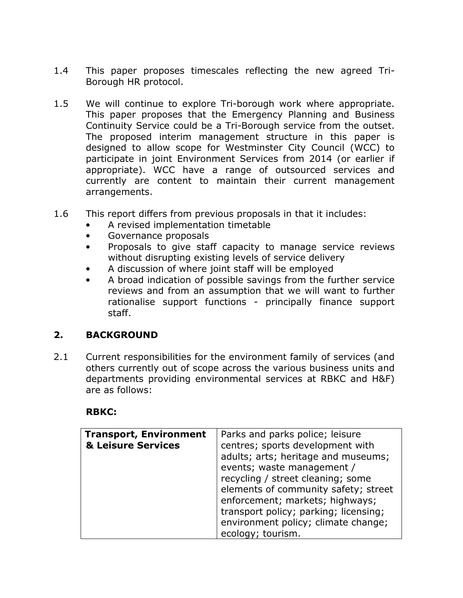- 1.4 This paper proposes timescales reflecting the new agreed Tri-Borough HR protocol.
- 1.5 We will continue to explore Tri-borough work where appropriate. This paper proposes that the Emergency Planning and Business Continuity Service could be a Tri-Borough service from the outset. The proposed interim management structure in this paper is designed to allow scope for Westminster City Council (WCC) to participate in joint Environment Services from 2014 (or earlier if appropriate). WCC have a range of outsourced services and currently are content to maintain their current management arrangements.
- 1.6 This report differs from previous proposals in that it includes:
	- A revised implementation timetable
	- Governance proposals
	- Proposals to give staff capacity to manage service reviews without disrupting existing levels of service delivery
	- A discussion of where joint staff will be employed
	- A broad indication of possible savings from the further service reviews and from an assumption that we will want to further rationalise support functions - principally finance support staff.

#### **2. BACKGROUND**

2.1 Current responsibilities for the environment family of services (and others currently out of scope across the various business units and departments providing environmental services at RBKC and H&F) are as follows:

#### **RBKC:**

| <b>Transport, Environment</b> | Parks and parks police; leisure       |
|-------------------------------|---------------------------------------|
| & Leisure Services            | centres; sports development with      |
|                               | adults; arts; heritage and museums;   |
|                               | events; waste management /            |
|                               | recycling / street cleaning; some     |
|                               | elements of community safety; street  |
|                               | enforcement; markets; highways;       |
|                               | transport policy; parking; licensing; |
|                               | environment policy; climate change;   |
|                               | ecology; tourism.                     |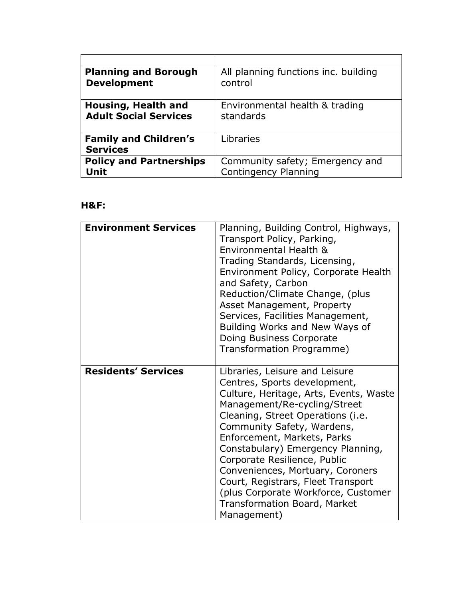| <b>Planning and Borough</b>                     | All planning functions inc. building |
|-------------------------------------------------|--------------------------------------|
| <b>Development</b>                              | control                              |
| Housing, Health and                             | Environmental health & trading       |
| <b>Adult Social Services</b>                    | standards                            |
| <b>Family and Children's</b><br><b>Services</b> | Libraries                            |
| <b>Policy and Partnerships</b>                  | Community safety; Emergency and      |
| Unit                                            | <b>Contingency Planning</b>          |

## **H&F:**

| <b>Environment Services</b> | Planning, Building Control, Highways,<br>Transport Policy, Parking,<br>Environmental Health &<br>Trading Standards, Licensing,<br>Environment Policy, Corporate Health<br>and Safety, Carbon<br>Reduction/Climate Change, (plus<br>Asset Management, Property<br>Services, Facilities Management,<br>Building Works and New Ways of<br>Doing Business Corporate<br>Transformation Programme)                                                                                           |
|-----------------------------|----------------------------------------------------------------------------------------------------------------------------------------------------------------------------------------------------------------------------------------------------------------------------------------------------------------------------------------------------------------------------------------------------------------------------------------------------------------------------------------|
| <b>Residents' Services</b>  | Libraries, Leisure and Leisure<br>Centres, Sports development,<br>Culture, Heritage, Arts, Events, Waste<br>Management/Re-cycling/Street<br>Cleaning, Street Operations (i.e.<br>Community Safety, Wardens,<br>Enforcement, Markets, Parks<br>Constabulary) Emergency Planning,<br>Corporate Resilience, Public<br>Conveniences, Mortuary, Coroners<br>Court, Registrars, Fleet Transport<br>(plus Corporate Workforce, Customer<br><b>Transformation Board, Market</b><br>Management) |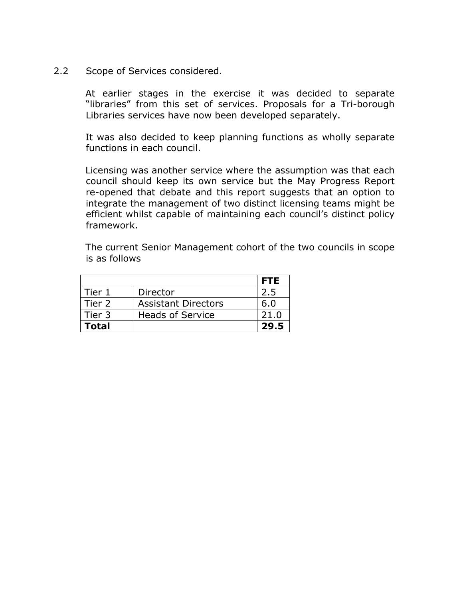2.2 Scope of Services considered.

 At earlier stages in the exercise it was decided to separate "libraries" from this set of services. Proposals for a Tri-borough Libraries services have now been developed separately.

 It was also decided to keep planning functions as wholly separate functions in each council.

 Licensing was another service where the assumption was that each council should keep its own service but the May Progress Report re-opened that debate and this report suggests that an option to integrate the management of two distinct licensing teams might be efficient whilst capable of maintaining each council's distinct policy framework.

 The current Senior Management cohort of the two councils in scope is as follows

|              |                            | <b>FTE</b> |
|--------------|----------------------------|------------|
| Tier 1       | Director                   | 2.5        |
| Tier 2       | <b>Assistant Directors</b> | 6.0        |
| Tier 3       | <b>Heads of Service</b>    | 21.0       |
| <b>Total</b> |                            | 29.5       |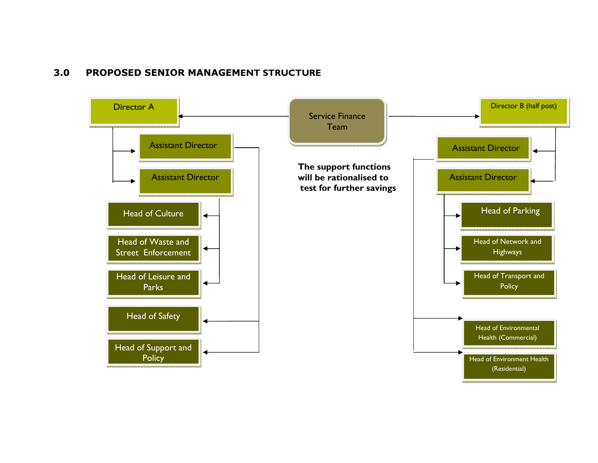#### **3.0 PROPOSED SENIOR MANAGEMENT STRUCTURE**

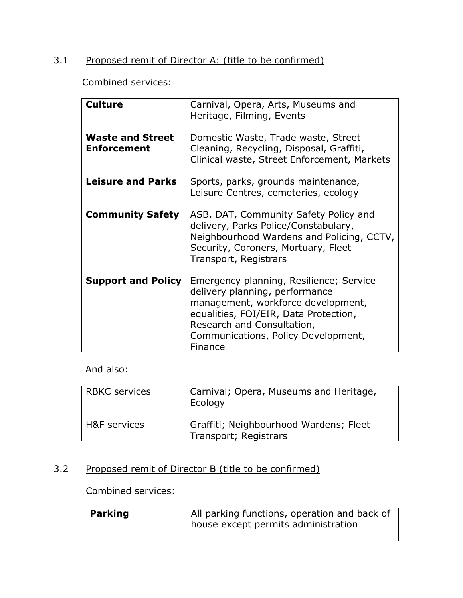## 3.1 Proposed remit of Director A: (title to be confirmed)

Combined services:

| <b>Culture</b>                                | Carnival, Opera, Arts, Museums and<br>Heritage, Filming, Events                                                                                                                                                                          |
|-----------------------------------------------|------------------------------------------------------------------------------------------------------------------------------------------------------------------------------------------------------------------------------------------|
| <b>Waste and Street</b><br><b>Enforcement</b> | Domestic Waste, Trade waste, Street<br>Cleaning, Recycling, Disposal, Graffiti,<br>Clinical waste, Street Enforcement, Markets                                                                                                           |
| <b>Leisure and Parks</b>                      | Sports, parks, grounds maintenance,<br>Leisure Centres, cemeteries, ecology                                                                                                                                                              |
| <b>Community Safety</b>                       | ASB, DAT, Community Safety Policy and<br>delivery, Parks Police/Constabulary,<br>Neighbourhood Wardens and Policing, CCTV,<br>Security, Coroners, Mortuary, Fleet<br>Transport, Registrars                                               |
| <b>Support and Policy</b>                     | Emergency planning, Resilience; Service<br>delivery planning, performance<br>management, workforce development,<br>equalities, FOI/EIR, Data Protection,<br>Research and Consultation,<br>Communications, Policy Development,<br>Finance |

## And also:

| <b>RBKC</b> services | Carnival; Opera, Museums and Heritage,<br>Ecology               |
|----------------------|-----------------------------------------------------------------|
| H&F services         | Graffiti; Neighbourhood Wardens; Fleet<br>Transport; Registrars |

## 3.2 Proposed remit of Director B (title to be confirmed)

Combined services:

| Parking | All parking functions, operation and back of |
|---------|----------------------------------------------|
|         | house except permits administration          |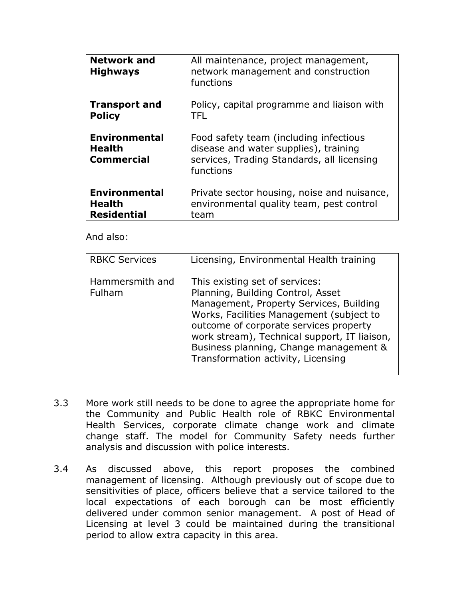| <b>Network and</b><br><b>Highways</b>                      | All maintenance, project management,<br>network management and construction<br>functions                                                   |
|------------------------------------------------------------|--------------------------------------------------------------------------------------------------------------------------------------------|
| <b>Transport and</b>                                       | Policy, capital programme and liaison with                                                                                                 |
| <b>Policy</b>                                              | TFL.                                                                                                                                       |
| <b>Environmental</b><br><b>Health</b><br><b>Commercial</b> | Food safety team (including infectious<br>disease and water supplies), training<br>services, Trading Standards, all licensing<br>functions |
| <b>Environmental</b>                                       | Private sector housing, noise and nuisance,                                                                                                |
| <b>Health</b>                                              | environmental quality team, pest control                                                                                                   |
| <b>Residential</b>                                         | team                                                                                                                                       |

#### And also:

| <b>RBKC Services</b>      | Licensing, Environmental Health training                                                                                                                                                                                                                                                                                             |
|---------------------------|--------------------------------------------------------------------------------------------------------------------------------------------------------------------------------------------------------------------------------------------------------------------------------------------------------------------------------------|
| Hammersmith and<br>Fulham | This existing set of services:<br>Planning, Building Control, Asset<br>Management, Property Services, Building<br>Works, Facilities Management (subject to<br>outcome of corporate services property<br>work stream), Technical support, IT liaison,<br>Business planning, Change management &<br>Transformation activity, Licensing |

- 3.3 More work still needs to be done to agree the appropriate home for the Community and Public Health role of RBKC Environmental Health Services, corporate climate change work and climate change staff. The model for Community Safety needs further analysis and discussion with police interests.
- 3.4 As discussed above, this report proposes the combined management of licensing. Although previously out of scope due to sensitivities of place, officers believe that a service tailored to the local expectations of each borough can be most efficiently delivered under common senior management. A post of Head of Licensing at level 3 could be maintained during the transitional period to allow extra capacity in this area.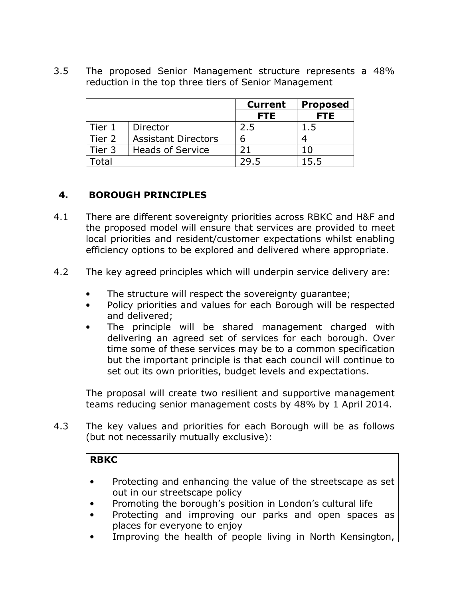3.5 The proposed Senior Management structure represents a 48% reduction in the top three tiers of Senior Management

|        |                            | <b>Current</b> | <b>Proposed</b> |
|--------|----------------------------|----------------|-----------------|
|        |                            | <b>FTE</b>     | <b>FTE</b>      |
| Tier 1 | Director                   | 2.5            | 1.5             |
| Tier 2 | <b>Assistant Directors</b> |                |                 |
| Tier 3 | <b>Heads of Service</b>    | 21             | 1 በ             |
|        |                            |                | 15.5            |

## **4. BOROUGH PRINCIPLES**

- 4.1 There are different sovereignty priorities across RBKC and H&F and the proposed model will ensure that services are provided to meet local priorities and resident/customer expectations whilst enabling efficiency options to be explored and delivered where appropriate.
- 4.2 The key agreed principles which will underpin service delivery are:
	- The structure will respect the sovereignty guarantee;
	- Policy priorities and values for each Borough will be respected and delivered;
	- The principle will be shared management charged with delivering an agreed set of services for each borough. Over time some of these services may be to a common specification but the important principle is that each council will continue to set out its own priorities, budget levels and expectations.

The proposal will create two resilient and supportive management teams reducing senior management costs by 48% by 1 April 2014.

4.3 The key values and priorities for each Borough will be as follows (but not necessarily mutually exclusive):

#### **RBKC**

- Protecting and enhancing the value of the streetscape as set out in our streetscape policy
- Promoting the borough's position in London's cultural life
- Protecting and improving our parks and open spaces as places for everyone to enjoy
- Improving the health of people living in North Kensington,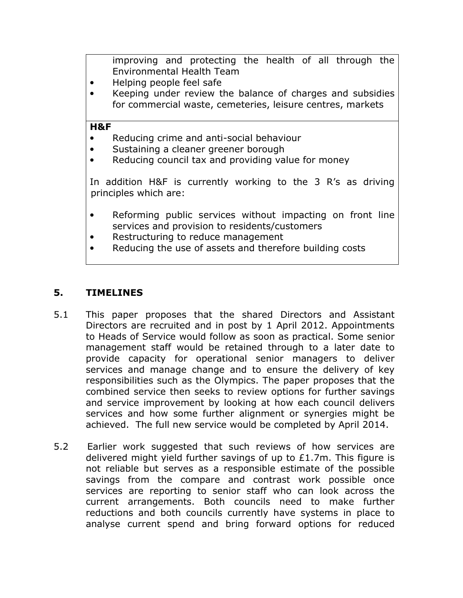improving and protecting the health of all through the Environmental Health Team

- Helping people feel safe
- Keeping under review the balance of charges and subsidies for commercial waste, cemeteries, leisure centres, markets

#### **H&F**

- Reducing crime and anti-social behaviour
- Sustaining a cleaner greener borough
- Reducing council tax and providing value for money

In addition H&F is currently working to the 3 R's as driving principles which are:

- Reforming public services without impacting on front line services and provision to residents/customers
- Restructuring to reduce management
- Reducing the use of assets and therefore building costs

#### **5. TIMELINES**

- 5.1 This paper proposes that the shared Directors and Assistant Directors are recruited and in post by 1 April 2012. Appointments to Heads of Service would follow as soon as practical. Some senior management staff would be retained through to a later date to provide capacity for operational senior managers to deliver services and manage change and to ensure the delivery of key responsibilities such as the Olympics. The paper proposes that the combined service then seeks to review options for further savings and service improvement by looking at how each council delivers services and how some further alignment or synergies might be achieved. The full new service would be completed by April 2014.
- 5.2 Earlier work suggested that such reviews of how services are delivered might yield further savings of up to £1.7m. This figure is not reliable but serves as a responsible estimate of the possible savings from the compare and contrast work possible once services are reporting to senior staff who can look across the current arrangements. Both councils need to make further reductions and both councils currently have systems in place to analyse current spend and bring forward options for reduced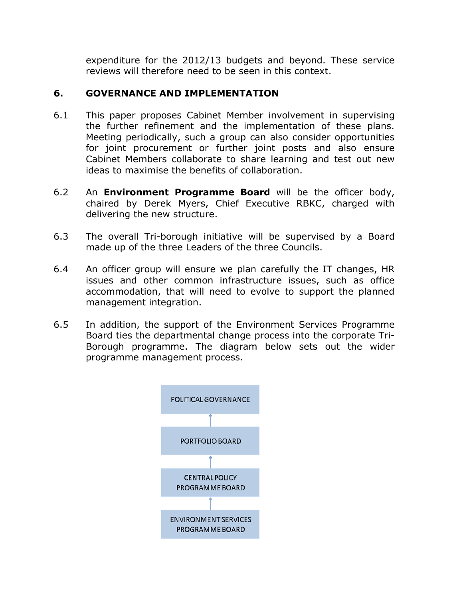expenditure for the 2012/13 budgets and beyond. These service reviews will therefore need to be seen in this context.

## **6. GOVERNANCE AND IMPLEMENTATION**

- 6.1 This paper proposes Cabinet Member involvement in supervising the further refinement and the implementation of these plans. Meeting periodically, such a group can also consider opportunities for joint procurement or further joint posts and also ensure Cabinet Members collaborate to share learning and test out new ideas to maximise the benefits of collaboration.
- 6.2 An **Environment Programme Board** will be the officer body, chaired by Derek Myers, Chief Executive RBKC, charged with delivering the new structure.
- 6.3 The overall Tri-borough initiative will be supervised by a Board made up of the three Leaders of the three Councils.
- 6.4 An officer group will ensure we plan carefully the IT changes, HR issues and other common infrastructure issues, such as office accommodation, that will need to evolve to support the planned management integration.
- 6.5 In addition, the support of the Environment Services Programme Board ties the departmental change process into the corporate Tri-Borough programme. The diagram below sets out the wider programme management process.

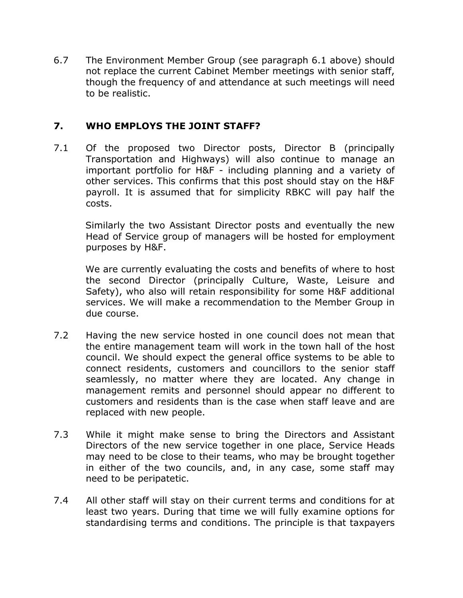6.7 The Environment Member Group (see paragraph 6.1 above) should not replace the current Cabinet Member meetings with senior staff, though the frequency of and attendance at such meetings will need to be realistic.

#### **7. WHO EMPLOYS THE JOINT STAFF?**

7.1 Of the proposed two Director posts, Director B (principally Transportation and Highways) will also continue to manage an important portfolio for H&F - including planning and a variety of other services. This confirms that this post should stay on the H&F payroll. It is assumed that for simplicity RBKC will pay half the costs.

 Similarly the two Assistant Director posts and eventually the new Head of Service group of managers will be hosted for employment purposes by H&F.

 We are currently evaluating the costs and benefits of where to host the second Director (principally Culture, Waste, Leisure and Safety), who also will retain responsibility for some H&F additional services. We will make a recommendation to the Member Group in due course.

- 7.2 Having the new service hosted in one council does not mean that the entire management team will work in the town hall of the host council. We should expect the general office systems to be able to connect residents, customers and councillors to the senior staff seamlessly, no matter where they are located. Any change in management remits and personnel should appear no different to customers and residents than is the case when staff leave and are replaced with new people.
- 7.3 While it might make sense to bring the Directors and Assistant Directors of the new service together in one place, Service Heads may need to be close to their teams, who may be brought together in either of the two councils, and, in any case, some staff may need to be peripatetic.
- 7.4 All other staff will stay on their current terms and conditions for at least two years. During that time we will fully examine options for standardising terms and conditions. The principle is that taxpayers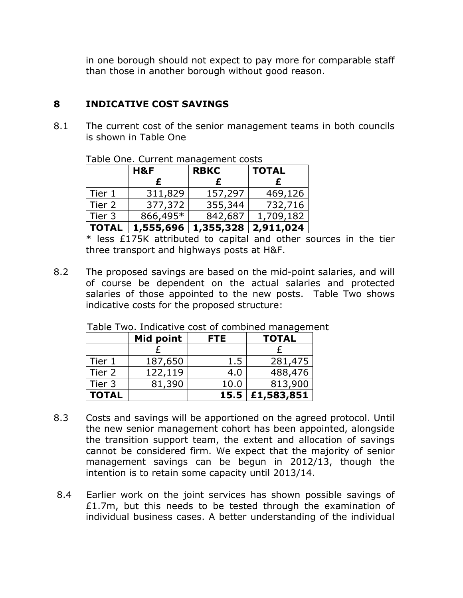in one borough should not expect to pay more for comparable staff than those in another borough without good reason.

## **8 INDICATIVE COST SAVINGS**

8.1 The current cost of the senior management teams in both councils is shown in Table One

| Table Offer Carlent management cools |           |             |              |  |  |  |
|--------------------------------------|-----------|-------------|--------------|--|--|--|
|                                      | H&F       | <b>RBKC</b> | <b>TOTAL</b> |  |  |  |
|                                      |           | £           | £            |  |  |  |
| Tier 1                               | 311,829   | 157,297     | 469,126      |  |  |  |
| Tier 2                               | 377,372   | 355,344     | 732,716      |  |  |  |
| Tier 3                               | 866,495*  | 842,687     | 1,709,182    |  |  |  |
| <b>TOTAL</b>                         | 1,555,696 | 1,355,328   | 2,911,024    |  |  |  |

Table One. Current management costs

 \* less £175K attributed to capital and other sources in the tier three transport and highways posts at H&F.

8.2 The proposed savings are based on the mid-point salaries, and will of course be dependent on the actual salaries and protected salaries of those appointed to the new posts. Table Two shows indicative costs for the proposed structure:

|              | Mid point | <b>FTE</b> | <b>TOTAL</b> |
|--------------|-----------|------------|--------------|
|              |           |            |              |
| Tier 1       | 187,650   | 1.5        | 281,475      |
| Tier 2       | 122,119   | 4.0        | 488,476      |
| Tier 3       | 81,390    | 10.0       | 813,900      |
| <b>TOTAL</b> |           | 15.5       | £1,583,851   |

Table Two. Indicative cost of combined management

- 8.3 Costs and savings will be apportioned on the agreed protocol. Until the new senior management cohort has been appointed, alongside the transition support team, the extent and allocation of savings cannot be considered firm. We expect that the majority of senior management savings can be begun in 2012/13, though the intention is to retain some capacity until 2013/14.
- 8.4 Earlier work on the joint services has shown possible savings of £1.7m, but this needs to be tested through the examination of individual business cases. A better understanding of the individual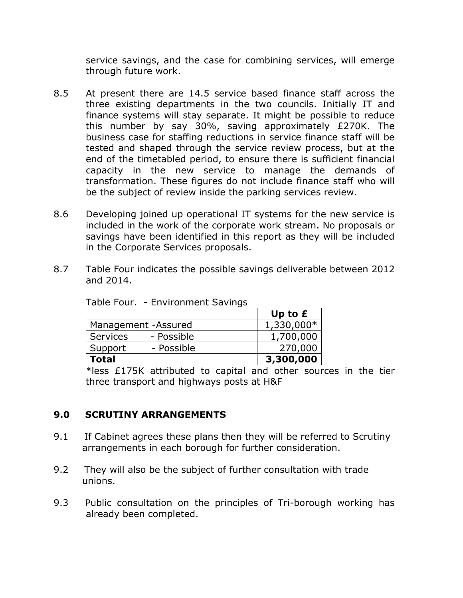service savings, and the case for combining services, will emerge through future work.

- 8.5 At present there are 14.5 service based finance staff across the three existing departments in the two councils. Initially IT and finance systems will stay separate. It might be possible to reduce this number by say 30%, saving approximately £270K. The business case for staffing reductions in service finance staff will be tested and shaped through the service review process, but at the end of the timetabled period, to ensure there is sufficient financial capacity in the new service to manage the demands of transformation. These figures do not include finance staff who will be the subject of review inside the parking services review.
- 8.6 Developing joined up operational IT systems for the new service is included in the work of the corporate work stream. No proposals or savings have been identified in this report as they will be included in the Corporate Services proposals.
- 8.7 Table Four indicates the possible savings deliverable between 2012 and 2014.

|                               | Up to $E$  |
|-------------------------------|------------|
| Management - Assured          | 1,330,000* |
| <b>Services</b><br>- Possible | 1,700,000  |
| - Possible<br>Support         | 270,000    |
| <b>Total</b>                  | 3,300,000  |

Table Four. - Environment Savings

\*less £175K attributed to capital and other sources in the tier three transport and highways posts at H&F

## **9.0 SCRUTINY ARRANGEMENTS**

- 9.1 If Cabinet agrees these plans then they will be referred to Scrutiny arrangements in each borough for further consideration.
- 9.2 They will also be the subject of further consultation with trade unions.
- 9.3 Public consultation on the principles of Tri-borough working has already been completed.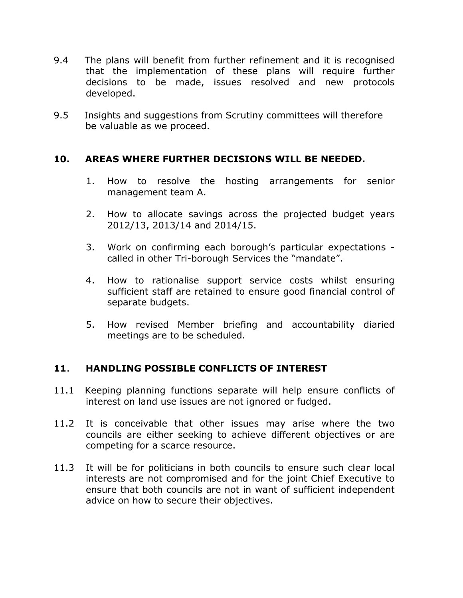- 9.4 The plans will benefit from further refinement and it is recognised that the implementation of these plans will require further decisions to be made, issues resolved and new protocols developed.
- 9.5 Insights and suggestions from Scrutiny committees will therefore be valuable as we proceed.

#### **10. AREAS WHERE FURTHER DECISIONS WILL BE NEEDED.**

- 1. How to resolve the hosting arrangements for senior management team A.
- 2. How to allocate savings across the projected budget years 2012/13, 2013/14 and 2014/15.
- 3. Work on confirming each borough's particular expectations called in other Tri-borough Services the "mandate".
- 4. How to rationalise support service costs whilst ensuring sufficient staff are retained to ensure good financial control of separate budgets.
- 5. How revised Member briefing and accountability diaried meetings are to be scheduled.

## **11**. **HANDLING POSSIBLE CONFLICTS OF INTEREST**

- 11.1 Keeping planning functions separate will help ensure conflicts of interest on land use issues are not ignored or fudged.
- 11.2 It is conceivable that other issues may arise where the two councils are either seeking to achieve different objectives or are competing for a scarce resource.
- 11.3 It will be for politicians in both councils to ensure such clear local interests are not compromised and for the joint Chief Executive to ensure that both councils are not in want of sufficient independent advice on how to secure their objectives.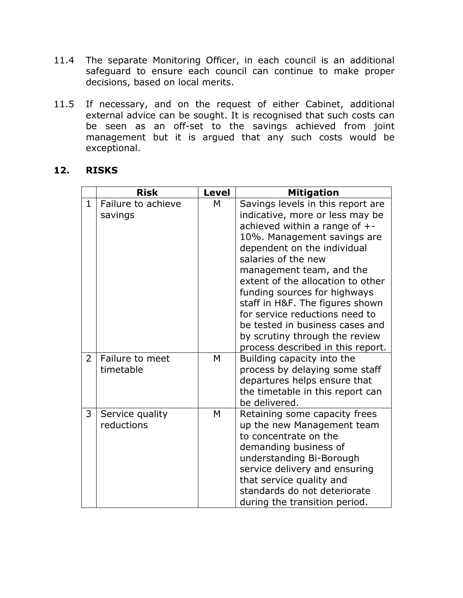- 11.4 The separate Monitoring Officer, in each council is an additional safeguard to ensure each council can continue to make proper decisions, based on local merits.
- 11.5 If necessary, and on the request of either Cabinet, additional external advice can be sought. It is recognised that such costs can be seen as an off-set to the savings achieved from joint management but it is argued that any such costs would be exceptional.

#### **12. RISKS**

|                | <b>Risk</b>                   | <b>Level</b> | <b>Mitigation</b>                                                                                                                                                                                                                                                                                                                                                                                                                                                             |
|----------------|-------------------------------|--------------|-------------------------------------------------------------------------------------------------------------------------------------------------------------------------------------------------------------------------------------------------------------------------------------------------------------------------------------------------------------------------------------------------------------------------------------------------------------------------------|
| $\mathbf{1}$   | Failure to achieve<br>savings | M            | Savings levels in this report are<br>indicative, more or less may be<br>achieved within a range of $+$ -<br>10%. Management savings are<br>dependent on the individual<br>salaries of the new<br>management team, and the<br>extent of the allocation to other<br>funding sources for highways<br>staff in H&F. The figures shown<br>for service reductions need to<br>be tested in business cases and<br>by scrutiny through the review<br>process described in this report. |
| $\overline{2}$ | Failure to meet<br>timetable  | M            | Building capacity into the<br>process by delaying some staff<br>departures helps ensure that<br>the timetable in this report can<br>be delivered.                                                                                                                                                                                                                                                                                                                             |
| 3              | Service quality<br>reductions | M            | Retaining some capacity frees<br>up the new Management team<br>to concentrate on the<br>demanding business of<br>understanding Bi-Borough<br>service delivery and ensuring<br>that service quality and<br>standards do not deteriorate<br>during the transition period.                                                                                                                                                                                                       |